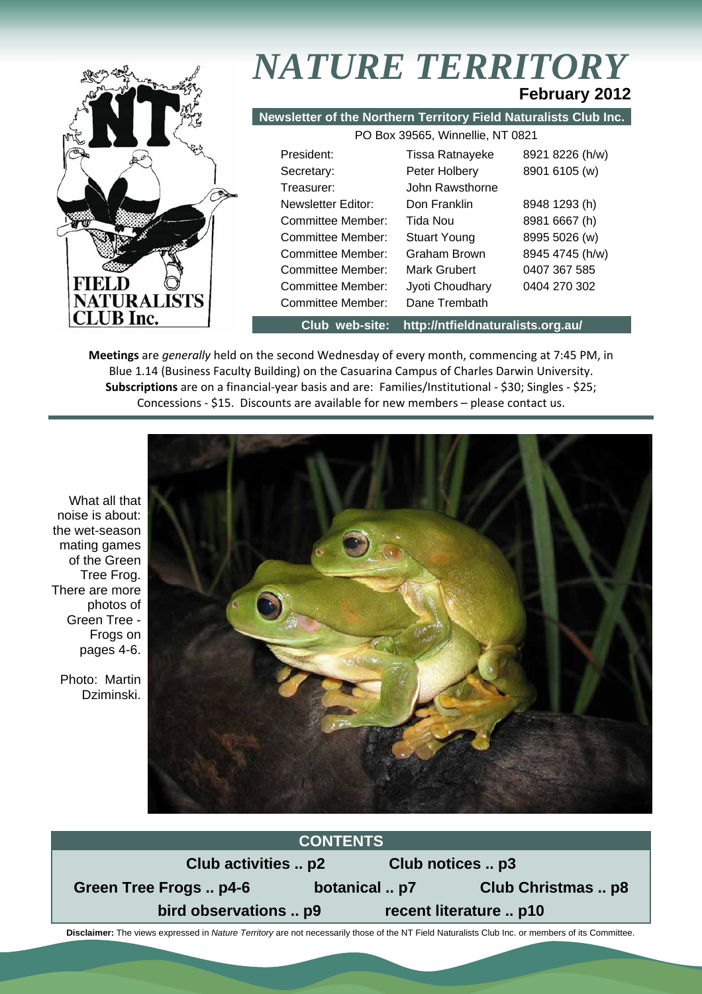

# *NATURE TERRITORY* **February 2012**

**Newsletter of the Northern Territory Field Naturalists Club Inc.**

| PO Box 39565, Winnellie, NT 0821 |                     |                 |  |  |  |
|----------------------------------|---------------------|-----------------|--|--|--|
| President:                       | Tissa Ratnayeke     | 8921 8226 (h/w) |  |  |  |
| Secretary:                       | Peter Holbery       | 8901 6105 (w)   |  |  |  |
| Treasurer:                       | John Rawsthorne     |                 |  |  |  |
| Newsletter Editor:               | Don Franklin        | 8948 1293 (h)   |  |  |  |
| Committee Member:                | Tida Nou            | 8981 6667 (h)   |  |  |  |
| Committee Member:                | <b>Stuart Young</b> | 8995 5026 (w)   |  |  |  |
| Committee Member:                | Graham Brown        | 8945 4745 (h/w) |  |  |  |
| Committee Member:                | Mark Grubert        | 0407 367 585    |  |  |  |
| Committee Member:                | Jyoti Choudhary     | 0404 270 302    |  |  |  |
| Committee Member:                | Dane Trembath       |                 |  |  |  |

**Club web-site: http://ntfieldnaturalists.org.au/** 

**Meetings** are *generally* held on the second Wednesday of every month, commencing at 7:45 PM, in Blue 1.14 (Business Faculty Building) on the Casuarina Campus of Charles Darwin University. **Subscriptions** are on a financial-year basis and are: Families/Institutional - \$30; Singles - \$25; Concessions - \$15. Discounts are available for new members – please contact us.

What all that noise is about: the wet-season mating games of the Green Tree Frog. There are more photos of Green Tree - Frogs on pages 4-6.

Photo: Martin Dziminski.





 **Disclaimer:** The views expressed in *Nature Territory* are not necessarily those of the NT Field Naturalists Club Inc. or members of its Committee.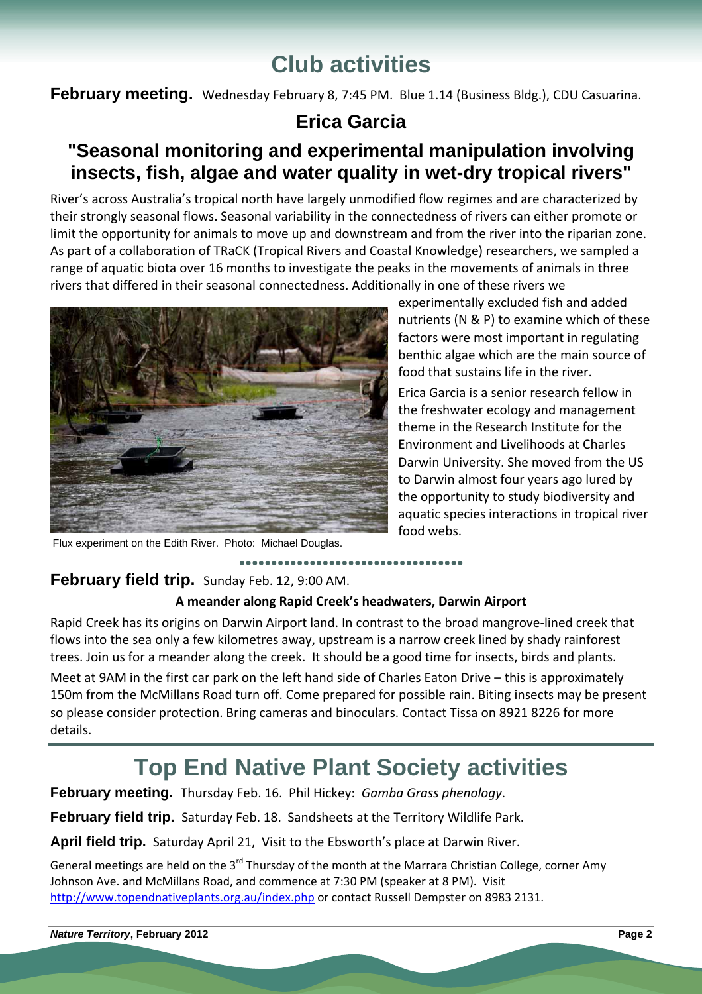# **Club activities**

**February meeting.** Wednesday February 8, 7:45 PM. Blue 1.14 (Business Bldg.), CDU Casuarina.

# **Erica Garcia**

# **"Seasonal monitoring and experimental manipulation involving insects, fish, algae and water quality in wet-dry tropical rivers"**

River's across Australia's tropical north have largely unmodified flow regimes and are characterized by their strongly seasonal flows. Seasonal variability in the connectedness of rivers can either promote or limit the opportunity for animals to move up and downstream and from the river into the riparian zone. As part of a collaboration of TRaCK (Tropical Rivers and Coastal Knowledge) researchers, we sampled a range of aquatic biota over 16 months to investigate the peaks in the movements of animals in three rivers that differed in their seasonal connectedness. Additionally in one of these rivers we



experimentally excluded fish and added nutrients (N & P) to examine which of these factors were most important in regulating benthic algae which are the main source of food that sustains life in the river.

Erica Garcia is a senior research fellow in the freshwater ecology and management theme in the Research Institute for the Environment and Livelihoods at Charles Darwin University. She moved from the US to Darwin almost four years ago lured by the opportunity to study biodiversity and aquatic species interactions in tropical river food webs.

Flux experiment on the Edith River. Photo: Michael Douglas.

# **February field trip.** Sunday Feb. 12, 9:00 AM.

# **A meander along Rapid Creek's headwaters, Darwin Airport**

**●●●●●●●●●●●●●●●●●●●●●●●●●●●●●●●●●●●**

Rapid Creek has its origins on Darwin Airport land. In contrast to the broad mangrove-lined creek that flows into the sea only a few kilometres away, upstream is a narrow creek lined by shady rainforest trees. Join us for a meander along the creek. It should be a good time for insects, birds and plants. Meet at 9AM in the first car park on the left hand side of Charles Eaton Drive – this is approximately 150m from the McMillans Road turn off. Come prepared for possible rain. Biting insects may be present so please consider protection. Bring cameras and binoculars. Contact Tissa on 8921 8226 for more

details.

# **Top End Native Plant Society activities**

**February meeting.** Thursday Feb. 16. Phil Hickey: *Gamba Grass phenology*.

**February field trip.** Saturday Feb. 18. Sandsheets at the Territory Wildlife Park.

**April field trip.** Saturday April 21, Visit to the Ebsworth's place at Darwin River.

General meetings are held on the 3<sup>rd</sup> Thursday of the month at the Marrara Christian College, corner Amy Johnson Ave. and McMillans Road, and commence at 7:30 PM (speaker at 8 PM). Visit http://www.topendnativeplants.org.au/index.php or contact Russell Dempster on 8983 2131.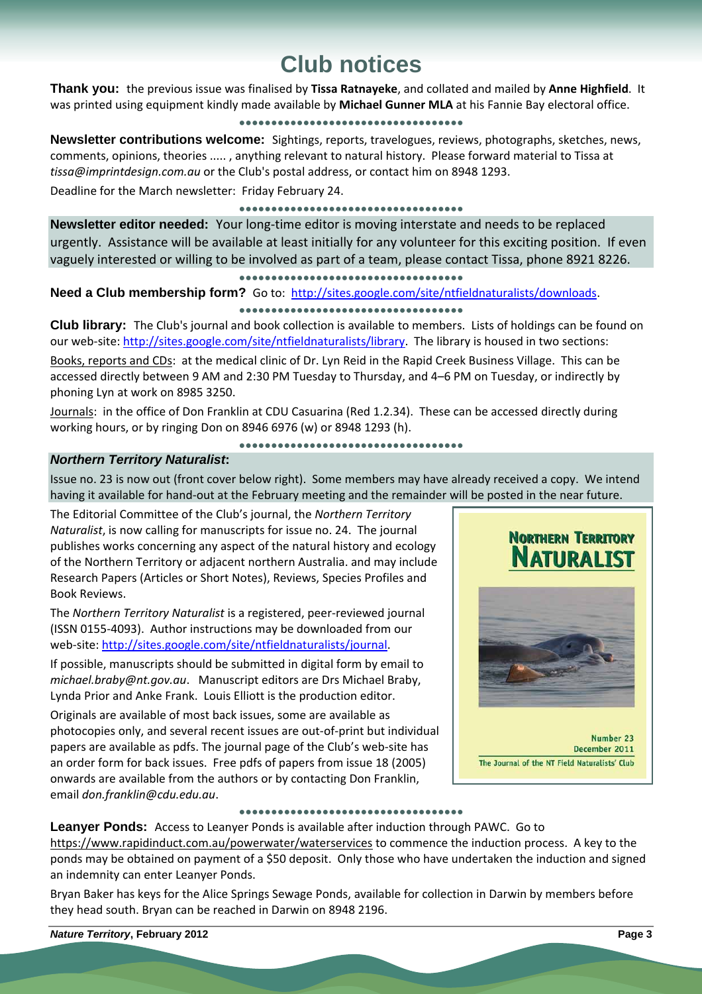# **Club notices**

**Thank you:** the previous issue was finalised by **Tissa Ratnayeke**, and collated and mailed by **Anne Highfield**. It was printed using equipment kindly made available by **Michael Gunner MLA** at his Fannie Bay electoral office.

### **●●●●●●●●●●●●●●●●●●●●●●●●●●●●●●●●●●●**

**Newsletter contributions welcome:** Sightings, reports, travelogues, reviews, photographs, sketches, news, comments, opinions, theories ..... , anything relevant to natural history. Please forward material to Tissa at *tissa@imprintdesign.com.au* or the Club's postal address, or contact him on 8948 1293.

Deadline for the March newsletter: Friday February 24.

### **●●●●●●●●●●●●●●●●●●●●●●●●●●●●●●●●●●●**

**Newsletter editor needed:** Your long-time editor is moving interstate and needs to be replaced urgently. Assistance will be available at least initially for any volunteer for this exciting position. If even vaguely interested or willing to be involved as part of a team, please contact Tissa, phone 8921 8226.

### **●●●●●●●●●●●●●●●●●●●●●●●●●●●●●●●●●●●**

## Need a Club membership form? Go to: http://sites.google.com/site/ntfieldnaturalists/downloads.

### **●●●●●●●●●●●●●●●●●●●●●●●●●●●●●●●●●●●**

**Club library:** The Club's journal and book collection is available to members. Lists of holdings can be found on our web-site: http://sites.google.com/site/ntfieldnaturalists/library. The library is housed in two sections:

Books, reports and CDs: at the medical clinic of Dr. Lyn Reid in the Rapid Creek Business Village. This can be accessed directly between 9 AM and 2:30 PM Tuesday to Thursday, and 4–6 PM on Tuesday, or indirectly by phoning Lyn at work on 8985 3250.

Journals: in the office of Don Franklin at CDU Casuarina (Red 1.2.34). These can be accessed directly during working hours, or by ringing Don on 8946 6976 (w) or 8948 1293 (h).

**●●●●●●●●●●●●●●●●●●●●●●●●●●●●●●●●●●●**

### *Northern Territory Naturalist***:**

Issue no. 23 is now out (front cover below right). Some members may have already received a copy. We intend having it available for hand-out at the February meeting and the remainder will be posted in the near future.

The Editorial Committee of the Club's journal, the *Northern Territory Naturalist*, is now calling for manuscripts for issue no. 24. The journal publishes works concerning any aspect of the natural history and ecology of the Northern Territory or adjacent northern Australia. and may include Research Papers (Articles or Short Notes), Reviews, Species Profiles and Book Reviews.

The *Northern Territory Naturalist* is a registered, peer-reviewed journal (ISSN 0155-4093). Author instructions may be downloaded from our web-site: http://sites.google.com/site/ntfieldnaturalists/journal.

If possible, manuscripts should be submitted in digital form by email to *michael.braby@nt.gov.au*. Manuscript editors are Drs Michael Braby, Lynda Prior and Anke Frank. Louis Elliott is the production editor.

Originals are available of most back issues, some are available as photocopies only, and several recent issues are out-of-print but individual papers are available as pdfs. The journal page of the Club's web-site has an order form for back issues. Free pdfs of papers from issue 18 (2005) onwards are available from the authors or by contacting Don Franklin, email *don.franklin@cdu.edu.au*.

# **NORTHERN TERRITORY NATURALIST**



Number 23 December 2011 The Journal of the NT Field Naturalists' Club

#### **●●●●●●●●●●●●●●●●●●●●●●●●●●●●●●●●●●●**

**Leanyer Ponds:** Access to Leanyer Ponds is available after induction through PAWC. Go to https://www.rapidinduct.com.au/powerwater/waterservices to commence the induction process. A key to the ponds may be obtained on payment of a \$50 deposit. Only those who have undertaken the induction and signed an indemnity can enter Leanyer Ponds.

Bryan Baker has keys for the Alice Springs Sewage Ponds, available for collection in Darwin by members before they head south. Bryan can be reached in Darwin on 8948 2196.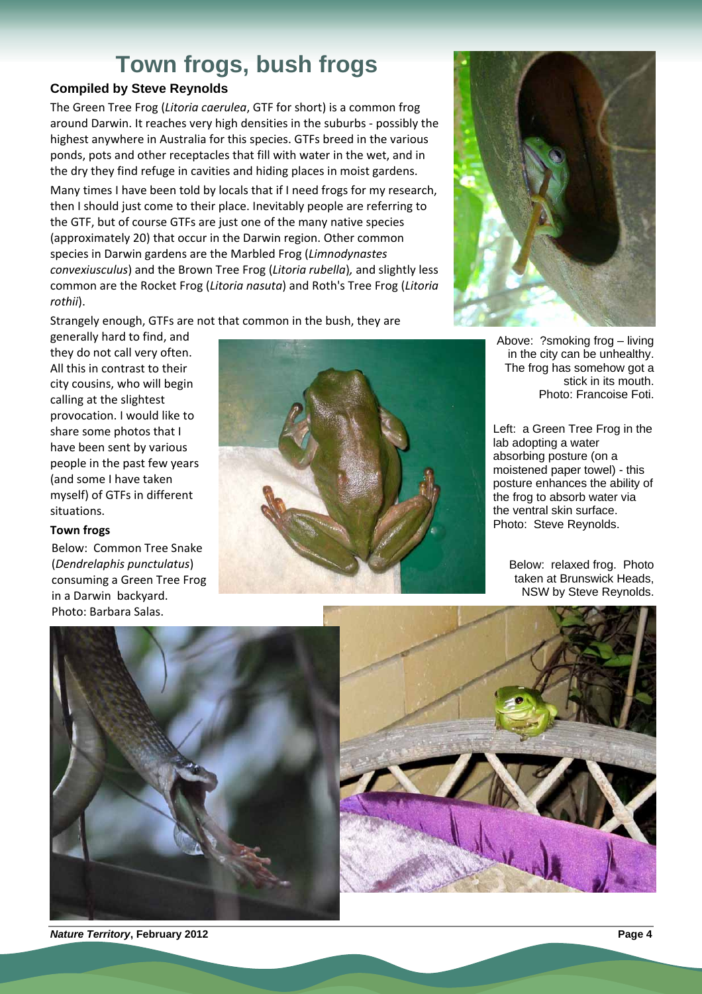# **Town frogs, bush frogs**

# **Compiled by Steve Reynolds**

The Green Tree Frog (*Litoria caerulea*, GTF for short) is a common frog around Darwin. It reaches very high densities in the suburbs - possibly the highest anywhere in Australia for this species. GTFs breed in the various ponds, pots and other receptacles that fill with water in the wet, and in the dry they find refuge in cavities and hiding places in moist gardens.

Many times I have been told by locals that if I need frogs for my research, then I should just come to their place. Inevitably people are referring to the GTF, but of course GTFs are just one of the many native species (approximately 20) that occur in the Darwin region. Other common species in Darwin gardens are the Marbled Frog (*Limnodynastes convexiusculus*) and the Brown Tree Frog (*Litoria rubella*)*,* and slightly less common are the Rocket Frog (*Litoria nasuta*) and Roth's Tree Frog (*Litoria rothii*).

Strangely enough, GTFs are not that common in the bush, they are

generally hard to find, and they do not call very often. All this in contrast to their city cousins, who will begin calling at the slightest provocation. I would like to share some photos that I have been sent by various people in the past few years (and some I have taken myself) of GTFs in different situations.

### **Town frogs**

Below: Common Tree Snake (*Dendrelaphis punctulatus*) consuming a Green Tree Frog in a Darwin backyard. Photo: Barbara Salas.





Above: ?smoking frog – living in the city can be unhealthy. The frog has somehow got a stick in its mouth. Photo: Francoise Foti.

Left: a Green Tree Frog in the lab adopting a water absorbing posture (on a moistened paper towel) - this posture enhances the ability of the frog to absorb water via the ventral skin surface. Photo: Steve Reynolds.

Below: relaxed frog. Photo taken at Brunswick Heads, NSW by Steve Reynolds.





*Nature Territory***, February 2012****Page 4**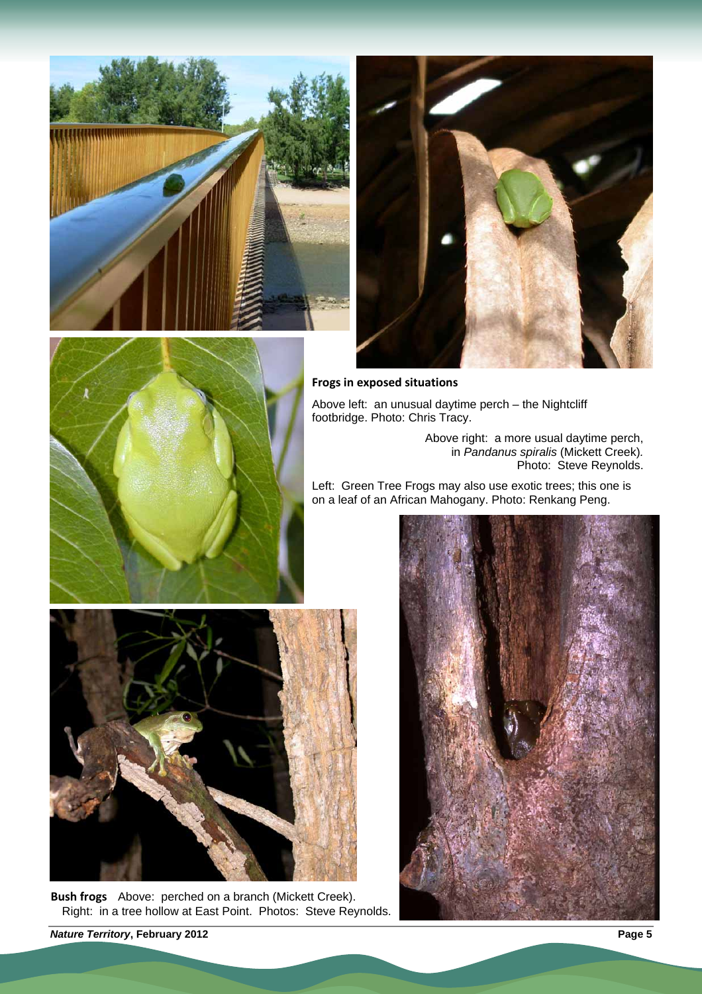







Above left: an unusual daytime perch – the Nightcliff footbridge. Photo: Chris Tracy.

> Above right: a more usual daytime perch, in *Pandanus spiralis* (Mickett Creek)*.* Photo: Steve Reynolds.

Left: Green Tree Frogs may also use exotic trees; this one is on a leaf of an African Mahogany. Photo: Renkang Peng.



**Bush frogs** Above: perched on a branch (Mickett Creek). Right: in a tree hollow at East Point. Photos: Steve Reynolds.



*Nature Territory***, February 2012****Page 5**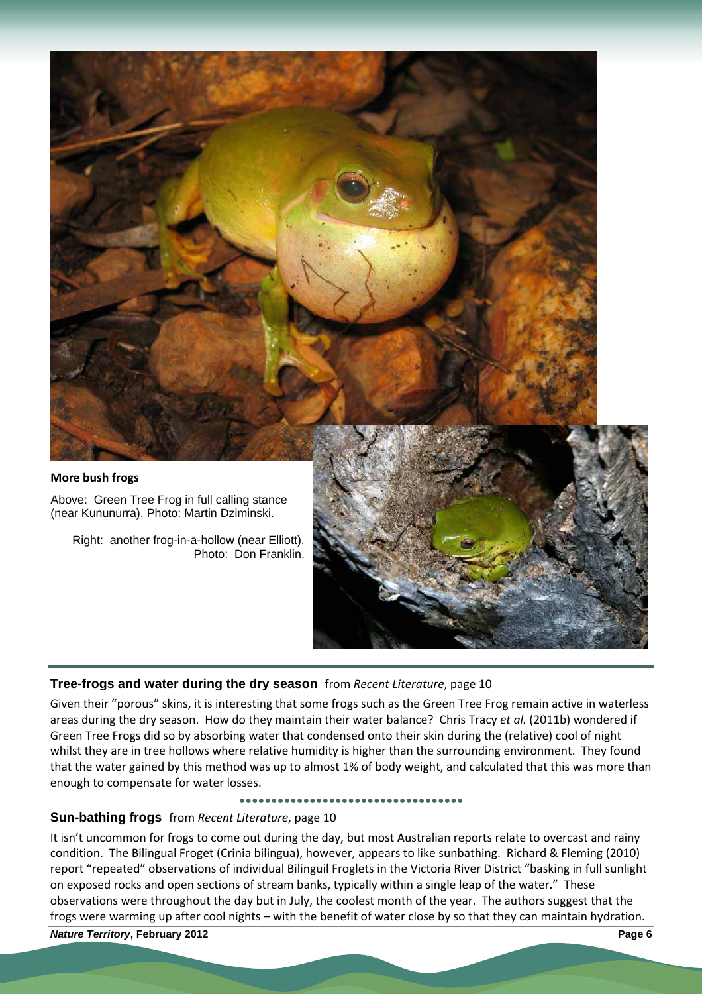

## **Tree-frogs and water during the dry season** from *Recent Literature*, page 10

Given their "porous" skins, it is interesting that some frogs such as the Green Tree Frog remain active in waterless areas during the dry season. How do they maintain their water balance? Chris Tracy *et al.* (2011b) wondered if Green Tree Frogs did so by absorbing water that condensed onto their skin during the (relative) cool of night whilst they are in tree hollows where relative humidity is higher than the surrounding environment. They found that the water gained by this method was up to almost 1% of body weight, and calculated that this was more than enough to compensate for water losses.

#### **●●●●●●●●●●●●●●●●●●●●●●●●●●●●●●●●●●●**

### **Sun-bathing frogs** from *Recent Literature*, page 10

It isn't uncommon for frogs to come out during the day, but most Australian reports relate to overcast and rainy condition. The Bilingual Froget (Crinia bilingua), however, appears to like sunbathing. Richard & Fleming (2010) report "repeated" observations of individual Bilinguil Froglets in the Victoria River District "basking in full sunlight on exposed rocks and open sections of stream banks, typically within a single leap of the water." These observations were throughout the day but in July, the coolest month of the year. The authors suggest that the frogs were warming up after cool nights – with the benefit of water close by so that they can maintain hydration.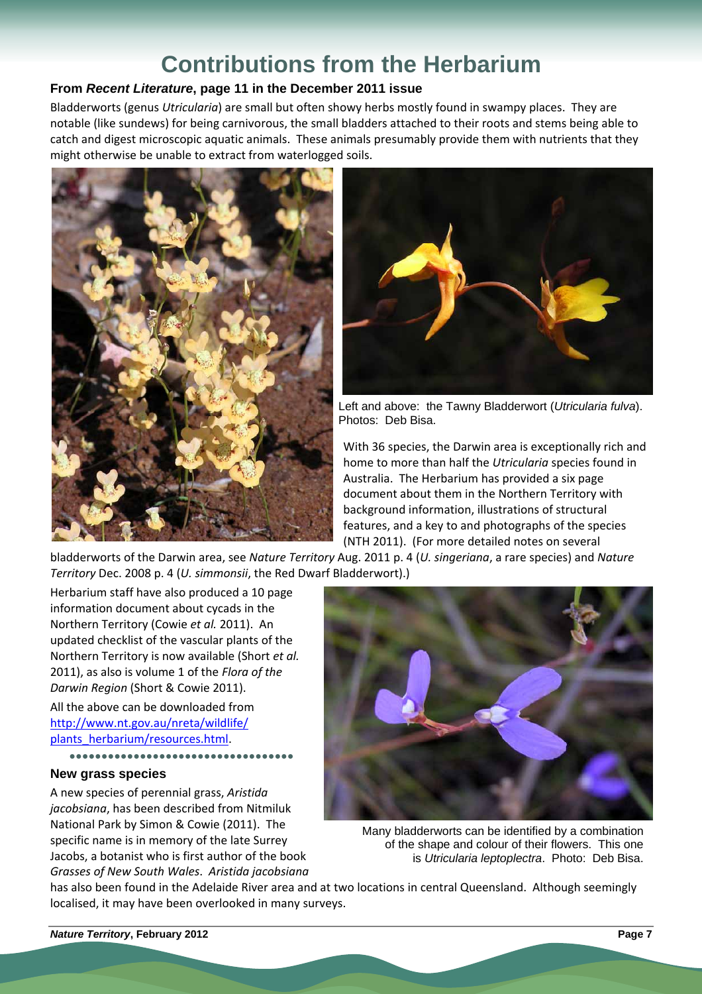# **Contributions from the Herbarium**

# **From** *Recent Literature***, page 11 in the December 2011 issue**

Bladderworts (genus *Utricularia*) are small but often showy herbs mostly found in swampy places. They are notable (like sundews) for being carnivorous, the small bladders attached to their roots and stems being able to catch and digest microscopic aquatic animals. These animals presumably provide them with nutrients that they might otherwise be unable to extract from waterlogged soils.





Left and above: the Tawny Bladderwort (*Utricularia fulva*). Photos: Deb Bisa.

With 36 species, the Darwin area is exceptionally rich and home to more than half the *Utricularia* species found in Australia. The Herbarium has provided a six page document about them in the Northern Territory with background information, illustrations of structural features, and a key to and photographs of the species (NTH 2011). (For more detailed notes on several

bladderworts of the Darwin area, see *Nature Territory* Aug. 2011 p. 4 (*U. singeriana*, a rare species) and *Nature Territory* Dec. 2008 p. 4 (*U. simmonsii*, the Red Dwarf Bladderwort).)

Herbarium staff have also produced a 10 page information document about cycads in the Northern Territory (Cowie *et al.* 2011). An updated checklist of the vascular plants of the Northern Territory is now available (Short *et al.* 2011), as also is volume 1 of the *Flora of the Darwin Region* (Short & Cowie 2011).

All the above can be downloaded from http://www.nt.gov.au/nreta/wildlife/ plants\_herbarium/resources.html.

# **●●●●●●●●●●●●●●●●●●●●●●●●●●●●●●●●●●●**

### **New grass species**

A new species of perennial grass, *Aristida jacobsiana*, has been described from Nitmiluk National Park by Simon & Cowie (2011). The specific name is in memory of the late Surrey Jacobs, a botanist who is first author of the book *Grasses of New South Wales*. *Aristida jacobsiana*



Many bladderworts can be identified by a combination of the shape and colour of their flowers. This one is *Utricularia leptoplectra*. Photo: Deb Bisa.

has also been found in the Adelaide River area and at two locations in central Queensland. Although seemingly localised, it may have been overlooked in many surveys.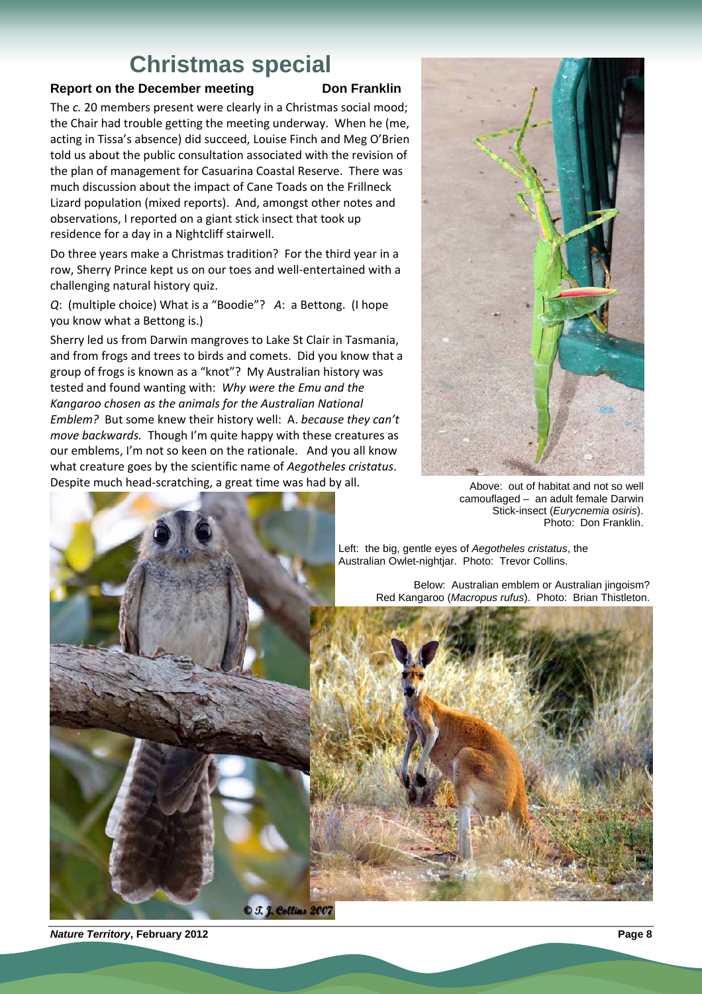# **Christmas special**

### **Report on the December meeting Don Franklin**

The *c.* 20 members present were clearly in a Christmas social mood; the Chair had trouble getting the meeting underway. When he (me, acting in Tissa's absence) did succeed, Louise Finch and Meg O'Brien told us about the public consultation associated with the revision of the plan of management for Casuarina Coastal Reserve. There was much discussion about the impact of Cane Toads on the Frillneck Lizard population (mixed reports). And, amongst other notes and observations, I reported on a giant stick insect that took up residence for a day in a Nightcliff stairwell.

Do three years make a Christmas tradition? For the third year in a row, Sherry Prince kept us on our toes and well-entertained with a challenging natural history quiz.

*Q*: (multiple choice) What is a "Boodie"? *A*: a Bettong. (I hope you know what a Bettong is.)

Sherry led us from Darwin mangroves to Lake St Clair in Tasmania, and from frogs and trees to birds and comets. Did you know that a group of frogs is known as a "knot"? My Australian history was tested and found wanting with: *Why were the Emu and the Kangaroo chosen as the animals for the Australian National Emblem?* But some knew their history well: A. *because they can't move backwards.* Though I'm quite happy with these creatures as our emblems, I'm not so keen on the rationale. And you all know what creature goes by the scientific name of *Aegotheles cristatus*. Despite much head-scratching, a great time was had by all. Above: out of habitat and not so well



camouflaged – an adult female Darwin Stick-insect (*Eurycnemia osiris*). Photo: Don Franklin.



Below: Australian emblem or Australian jingoism? Red Kangaroo (*Macropus rufus*). Photo: Brian Thistleton.



**O** J. J. Collins 2007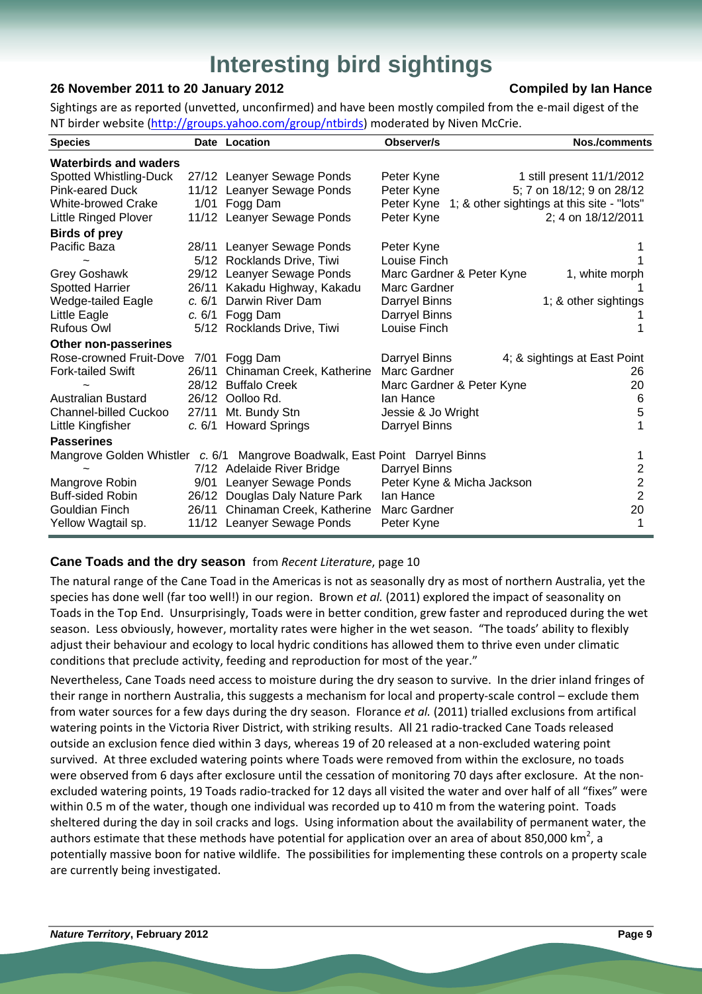# **Interesting bird sightings**

## **26 November 2011 to 20 January 2012 Compiled by Ian Hance**

Sightings are as reported (unvetted, unconfirmed) and have been mostly compiled from the e-mail digest of the NT birder website (http://groups.yahoo.com/group/ntbirds) moderated by Niven McCrie.

| <b>Species</b>                        |        | Date Location                                                               | Observer/s                 | <b>Nos./comments</b>                                  |
|---------------------------------------|--------|-----------------------------------------------------------------------------|----------------------------|-------------------------------------------------------|
| <b>Waterbirds and waders</b>          |        |                                                                             |                            |                                                       |
| Spotted Whistling-Duck                |        | 27/12 Leanyer Sewage Ponds                                                  | Peter Kyne                 | 1 still present 11/1/2012                             |
| <b>Pink-eared Duck</b>                |        | 11/12 Leanyer Sewage Ponds                                                  | Peter Kyne                 | 5; 7 on 18/12; 9 on 28/12                             |
| <b>White-browed Crake</b>             |        | 1/01 Fogg Dam                                                               |                            | Peter Kyne 1; & other sightings at this site - "lots" |
| Little Ringed Plover                  |        | 11/12 Leanyer Sewage Ponds                                                  | Peter Kyne                 | 2; 4 on 18/12/2011                                    |
| <b>Birds of prey</b>                  |        |                                                                             |                            |                                                       |
| Pacific Baza                          |        | 28/11 Leanyer Sewage Ponds                                                  | Peter Kyne                 |                                                       |
|                                       |        | 5/12 Rocklands Drive, Tiwi                                                  | Louise Finch               |                                                       |
| Grey Goshawk                          |        | 29/12 Leanyer Sewage Ponds                                                  | Marc Gardner & Peter Kyne  | 1, white morph                                        |
| <b>Spotted Harrier</b>                | 26/11  | Kakadu Highway, Kakadu                                                      | Marc Gardner               |                                                       |
| Wedge-tailed Eagle                    | c.6/1  | Darwin River Dam                                                            | Darryel Binns              | 1; & other sightings                                  |
| Little Eagle                          |        | c. $6/1$ Fogg Dam                                                           | Darryel Binns              |                                                       |
| <b>Rufous Owl</b>                     |        | 5/12 Rocklands Drive, Tiwi                                                  | Louise Finch               |                                                       |
| Other non-passerines                  |        |                                                                             |                            |                                                       |
| Rose-crowned Fruit-Dove 7/01 Fogg Dam |        |                                                                             | Darryel Binns              | 4; & sightings at East Point                          |
| <b>Fork-tailed Swift</b>              | 26/11  | Chinaman Creek, Katherine                                                   | Marc Gardner               | 26                                                    |
|                                       |        | 28/12 Buffalo Creek                                                         | Marc Gardner & Peter Kyne  | 20                                                    |
| <b>Australian Bustard</b>             |        | 26/12 Oolloo Rd.                                                            | lan Hance                  | 6                                                     |
| Channel-billed Cuckoo                 | 27/11  | Mt. Bundy Stn                                                               | Jessie & Jo Wright         | 5                                                     |
| Little Kingfisher                     | c. 6/1 | <b>Howard Springs</b>                                                       | Darryel Binns              |                                                       |
| <b>Passerines</b>                     |        |                                                                             |                            |                                                       |
|                                       |        | Mangrove Golden Whistler c. 6/1 Mangrove Boadwalk, East Point Darryel Binns |                            |                                                       |
|                                       |        | 7/12 Adelaide River Bridge                                                  | Darryel Binns              | 2                                                     |
| Mangrove Robin                        | 9/01   | Leanyer Sewage Ponds                                                        | Peter Kyne & Micha Jackson | $\overline{2}$                                        |
| <b>Buff-sided Robin</b>               |        | 26/12 Douglas Daly Nature Park                                              | lan Hance                  | $\overline{2}$                                        |
| Gouldian Finch                        |        | 26/11 Chinaman Creek, Katherine                                             | Marc Gardner               | 20                                                    |
| Yellow Wagtail sp.                    |        | 11/12 Leanyer Sewage Ponds                                                  | Peter Kyne                 |                                                       |

### **Cane Toads and the dry season** from *Recent Literature*, page 10

The natural range of the Cane Toad in the Americas is not as seasonally dry as most of northern Australia, yet the species has done well (far too well!) in our region. Brown *et al.* (2011) explored the impact of seasonality on Toads in the Top End. Unsurprisingly, Toads were in better condition, grew faster and reproduced during the wet season. Less obviously, however, mortality rates were higher in the wet season. "The toads' ability to flexibly adjust their behaviour and ecology to local hydric conditions has allowed them to thrive even under climatic conditions that preclude activity, feeding and reproduction for most of the year."

Nevertheless, Cane Toads need access to moisture during the dry season to survive. In the drier inland fringes of their range in northern Australia, this suggests a mechanism for local and property-scale control – exclude them from water sources for a few days during the dry season. Florance *et al.* (2011) trialled exclusions from artifical watering points in the Victoria River District, with striking results. All 21 radio-tracked Cane Toads released outside an exclusion fence died within 3 days, whereas 19 of 20 released at a non-excluded watering point survived. At three excluded watering points where Toads were removed from within the exclosure, no toads were observed from 6 days after exclosure until the cessation of monitoring 70 days after exclosure. At the nonexcluded watering points, 19 Toads radio-tracked for 12 days all visited the water and over half of all "fixes" were within 0.5 m of the water, though one individual was recorded up to 410 m from the watering point. Toads sheltered during the day in soil cracks and logs. Using information about the availability of permanent water, the authors estimate that these methods have potential for application over an area of about 850,000 km<sup>2</sup>, a potentially massive boon for native wildlife. The possibilities for implementing these controls on a property scale are currently being investigated.